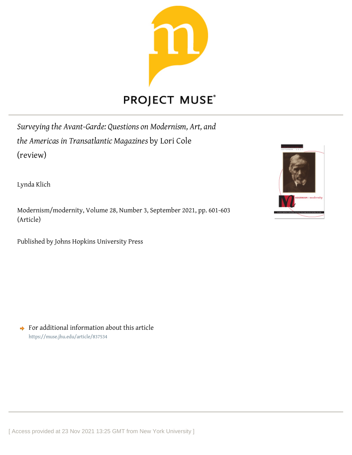

# **PROJECT MUSE®**

*Surveying the Avant-Garde: Questions on Modernism, Art, and the Americas in Transatlantic Magazines* by Lori Cole (review)

Lynda Klich

Modernism/modernity, Volume 28, Number 3, September 2021, pp. 601-603 (Article)

Published by Johns Hopkins University Press



 $\rightarrow$  For additional information about this article <https://muse.jhu.edu/article/837534>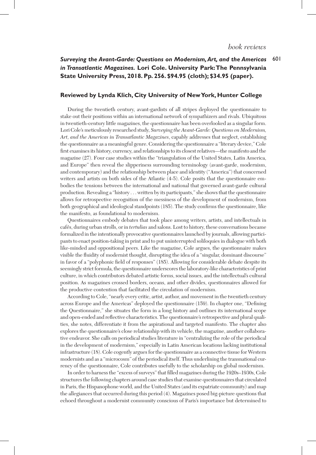## *Surveying the Avant-Garde: Questions on Modernism, Art, and the Americas* 601 *in Transatlantic Magazines.* **Lori Cole. University Park: The Pennsylvania State University Press, 2018. Pp. 256. \$94.95 (cloth); \$34.95 (paper).**

#### **Reviewed by Lynda Klich, City University of New York, Hunter College**

During the twentieth century, avant-gardists of all stripes deployed the questionnaire to stake out their positions within an international network of sympathizers and rivals. Ubiquitous in twentieth-century little magazines, the questionnaire has been overlooked as a singular form. Lori Cole's meticulously researched study, *Surveying the Avant-Garde: Questions on Modernism, Art, and the Americas in Transatlantic Magazines*, capably addresses that neglect, establishing the questionnaire as a meaningful genre. Considering the questionnaire a "literary device," Cole first examines its history, currency, and relationships to its closest relatives—the manifesto and the magazine (27). Four case studies within the "triangulation of the United States, Latin America, and Europe" then reveal the slipperiness surrounding terminology (avant-garde, modernism, and contemporary) and the relationship between place and identity ("America") that concerned writers and artists on both sides of the Atlantic (4-5). Cole posits that the questionnaire embodies the tensions between the international and national that governed avant-garde cultural production. Revealing a "history . . . written by its participants," she shows that the questionnaire allows for retrospective recognition of the messiness of the development of modernism, from both geographical and ideological standpoints (185). The study confirms the questionnaire, like the manifesto, as foundational to modernism.

Questionnaires embody debates that took place among writers, artists, and intellectuals in cafés, during urban strolls, or in *tertulias* and salons. Lost to history, these conversations became formalized in the intentionally provocative questionnaires launched by journals, allowing participants to enact position-taking in print and to put uninterrupted soliloquies in dialogue with both like-minded and oppositional peers. Like the magazine, Cole argues, the questionnaire makes visible the fluidity of modernist thought, disrupting the idea of a "singular, dominant discourse" in favor of a "polyphonic field of responses" (185). Allowing for considerable debate despite its seemingly strict formula, the questionnaire underscores the laboratory-like characteristics of print culture, in which contributors debated artistic forms, social issues, and the intellectual's cultural position. As magazines crossed borders, oceans, and other divides, questionnaires allowed for the productive contention that facilitated the circulation of modernism.

According to Cole, "nearly every critic, artist, author, and movement in the twentieth century across Europe and the Americas" deployed the questionnaire (159). In chapter one, "Defining the Questionnaire," she situates the form in a long history and outlines its international scope and open-ended and reflective characteristics. The questionnaire's retrospective and plural qualities, she notes, differentiate it from the aspirational and targeted manifesto. The chapter also explores the questionnaire's close relationship with its vehicle, the magazine, another collaborative endeavor. She calls on periodical studies literature in "centralizing the role of the periodical in the development of modernism," especially in Latin American locations lacking institutional infrastructure (18). Cole cogently argues for the questionnaire as a connective tissue for Western modernists and as a "microcosm" of the periodical itself. Thus underlining the transnational currency of the questionnaire, Cole contributes usefully to the scholarship on global modernism.

In order to harness the "excess of surveys" that filled magazines during the 1920s–1930s, Cole structures the following chapters around case studies that examine questionnaires that circulated in Paris, the Hispanophone world, and the United States (and its expatriate community) and map the allegiances that occurred during this period (4). Magazines posed big-picture questions that echoed throughout a modernist community conscious of Paris's importance but determined to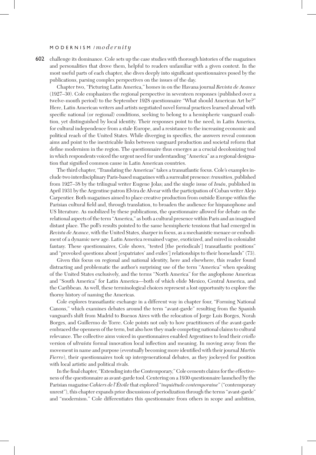#### M O D E R N I S M / *modernity*

602 challenge its dominance. Cole sets up the case studies with thorough histories of the magazines and personalities that drove them, helpful to readers unfamiliar with a given context. In the most useful parts of each chapter, she dives deeply into significant questionnaires posed by the publications, parsing complex perspectives on the issues of the day.

Chapter two, "Picturing Latin America," homes in on the Havana journal *Revista de Avance* (1927–30). Cole emphasizes the regional perspective in seventeen responses (published over a twelve-month period) to the September 1928 questionnaire "What should American Art be?" Here, Latin American writers and artists negotiated novel formal practices learned abroad with specific national (or regional) conditions, seeking to belong to a hemispheric vanguard coalition, yet distinguished by local identity. Their responses point to the need, in Latin America, for cultural independence from a stale Europe, and a resistance to the increasing economic and political reach of the United States. While diverging in specifics, the answers reveal common aims and point to the inextricable links between vanguard production and societal reform that define modernism in the region. The questionnaire thus emerges as a crucial decolonizing tool in which respondents voiced the urgent need for understanding "America" as a regional designation that signified common cause in Latin American countries.

The third chapter, "Translating the Americas" takes a transatlantic focus. Cole's examples include two interdisciplinary Paris-based magazines with a surrealist presence: *transition*, published from 1927–38 by the trilingual writer Eugene Jolas; and the single issue of *Imán*, published in April 1931 by the Argentine patron Elvira de Alvear with the participation of Cuban writer Alejo Carpentier. Both magazines aimed to place creative production from outside Europe within the Parisian cultural field and, through translation, to broaden the audience for hispanophone and US literature. As mobilized by these publications, the questionnaire allowed for debate on the relational aspects of the term "America," as both a cultural presence within Paris and an imagined distant place. The poll's results pointed to the same hemispheric tensions that had emerged in *Revista de Avance*, with the United States, sharper in focus, as a mechanistic menace or embodiment of a dynamic new age. Latin America remained vague, exoticized, and mired in colonialist fantasy. These questionnaires, Cole shows, "tested [the periodicals'] transatlantic positions" and "provoked questions about [expatriates' and exiles'] relationships to their homelands" (73).

Given this focus on regional and national identity, here and elsewhere, this reader found distracting and problematic the author's surprising use of the term "America" when speaking of the United States exclusively, and the terms "North America" for the anglophone Americas and "South America" for Latin America—both of which elide Mexico, Central America, and the Caribbean. As well, these terminological choices represent a lost opportunity to explore the thorny history of naming the Americas.

Cole explores transatlantic exchange in a different way in chapter four, "Forming National Canons," which examines debates around the term "avant-garde" resulting from the Spanish vanguard's shift from Madrid to Buenos Aires with the relocation of Jorge Luis Borges, Norah Borges, and Guillermo de Torre. Cole points not only to how practitioners of the avant-garde embraced the openness of the term, but also how they made competing national claims to cultural relevance. The collective aims voiced in questionnaires enabled Argentines to lend their *criollo* version of *ultraísta* formal innovation local inflection and meaning. In moving away from the movement in name and purpose (eventually becoming more identified with their journal *Martín Fierro*), their questionnaires took up intergenerational debates, as they jockeyed for position with local artistic and political rivals.

In the final chapter, "Extending into the Contemporary," Cole cements claims for the effectiveness of the questionnaire as avant-garde tool. Centering on a 1930 questionnaire launched by the Parisian magazine *Cahiers de l'Étoile* that explored "*inquiétude contemporaine*" ("contemporary unrest"), this chapter expands prior discussions of periodization through the terms "avant-garde" and "modernism." Cole differentiates this questionnaire from others in scope and ambition,